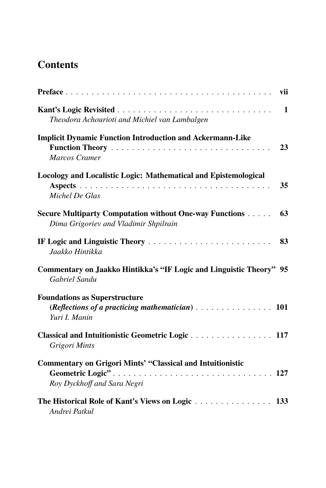## **Contents**

| vii                                                                                                                                              |
|--------------------------------------------------------------------------------------------------------------------------------------------------|
| $\mathbf{1}$<br>Theodora Achourioti and Michiel van Lambalgen                                                                                    |
| <b>Implicit Dynamic Function Introduction and Ackermann-Like</b><br>23<br><b>Marcos Cramer</b>                                                   |
| Locology and Localistic Logic: Mathematical and Epistemological<br>35<br>Michel De Glas                                                          |
| <b>Secure Multiparty Computation without One-way Functions</b><br>63<br>Dima Grigoriev and Vladimir Shpilrain                                    |
| 83<br>Jaakko Hintikka                                                                                                                            |
| Commentary on Jaakko Hintikka's "IF Logic and Linguistic Theory" 95<br>Gabriel Sandu                                                             |
| <b>Foundations as Superstructure</b><br>(Reflections of a practicing mathematician) $\ldots \ldots \ldots \ldots \ldots \ldots$<br>Yuri I. Manin |
| Grigori Mints                                                                                                                                    |
| <b>Commentary on Grigori Mints' "Classical and Intuitionistic</b><br>Roy Dyckhoff and Sara Negri                                                 |
| The Historical Role of Kant's Views on Logic 133<br>Andrei Patkul                                                                                |